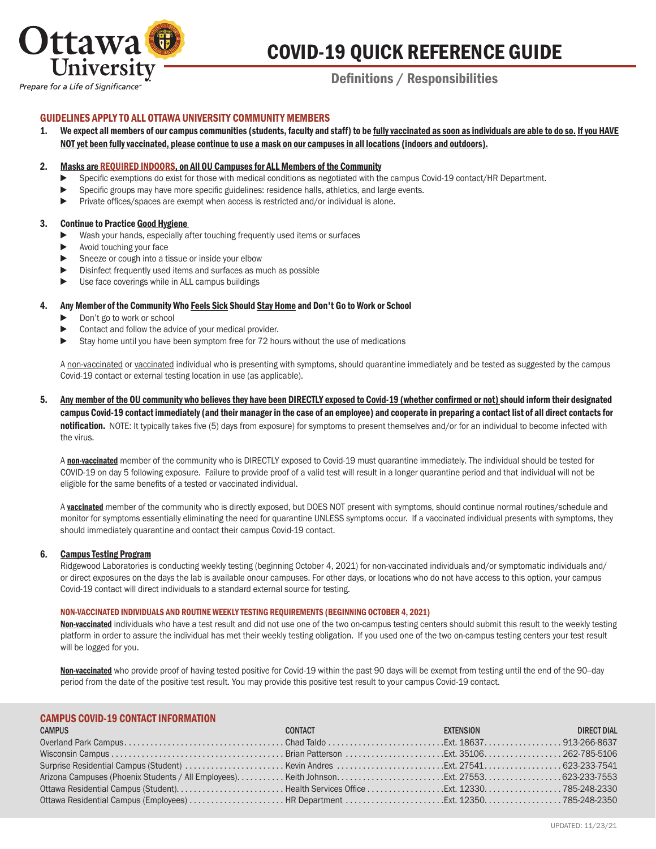

# COVID-19 QUICK REFERENCE GUIDE

## Definitions / Responsibilities

### Prepare for a Life of Significance

#### GUIDELINES APPLY TO ALL OTTAWA UNIVERSITY COMMUNITY MEMBERS

1. We expect all members of our campus communities (students, faculty and staff) to be fully vaccinated as soon as individuals are able to do so. If you HAVE NOT yet been fully vaccinated, please continue to use a mask on our campuses in all locations (indoors and outdoors).

#### 2. Masks are REQUIRED INDOORS, on All OU Campuses for ALL Members of the Community

- Specific exemptions do exist for those with medical conditions as negotiated with the campus Covid-19 contact/HR Department.
- Specific groups may have more specific guidelines: residence halls, athletics, and large events.
- ▶ Private offices/spaces are exempt when access is restricted and/or individual is alone.

#### 3. Continue to Practice Good Hygiene

- Wash your hands, especially after touching frequently used items or surfaces
- ► Avoid touching your face
- ▶ Sneeze or cough into a tissue or inside your elbow
- ▶ Disinfect frequently used items and surfaces as much as possible
- ► Use face coverings while in ALL campus buildings

#### 4. Any Member of the Community Who Feels Sick Should Stay Home and Don't Go to Work or School

- ► Don't go to work or school
- ▶ Contact and follow the advice of your medical provider.
- ▶ Stay home until you have been symptom free for 72 hours without the use of medications

A non-vaccinated or vaccinated individual who is presenting with symptoms, should quarantine immediately and be tested as suggested by the campus Covid-19 contact or external testing location in use (as applicable).

5. Any member of the OU community who believes they have been DIRECTLY exposed to Covid-19 (whether confirmed or not) should inform their designated campus Covid-19 contact immediately (and their manager in the case of an employee) and cooperate in preparing a contact list of all direct contacts for notification. NOTE: It typically takes five (5) days from exposure) for symptoms to present themselves and/or for an individual to become infected with the virus.

A non-vaccinated member of the community who is DIRECTLY exposed to Covid-19 must quarantine immediately. The individual should be tested for COVID-19 on day 5 following exposure. Failure to provide proof of a valid test will result in a longer quarantine period and that individual will not be eligible for the same benefits of a tested or vaccinated individual.

A vaccinated member of the community who is directly exposed, but DOES NOT present with symptoms, should continue normal routines/schedule and monitor for symptoms essentially eliminating the need for quarantine UNLESS symptoms occur. If a vaccinated individual presents with symptoms, they should immediately quarantine and contact their campus Covid-19 contact.

#### 6. Campus Testing Program

 Ridgewood Laboratories is conducting weekly testing (beginning October 4, 2021) for non-vaccinated individuals and/or symptomatic individuals and/ or direct exposures on the days the lab is available onour campuses. For other days, or locations who do not have access to this option, your campus Covid-19 contact will direct individuals to a standard external source for testing.

#### NON-VACCINATED INDIVIDUALS AND ROUTINE WEEKLY TESTING REQUIREMENTS (BEGINNING OCTOBER 4, 2021)

Non-vaccinated individuals who have a test result and did not use one of the two on-campus testing centers should submit this result to the weekly testing platform in order to assure the individual has met their weekly testing obligation. If you used one of the two on-campus testing centers your test result will be logged for you.

Non-vaccinated who provide proof of having tested positive for Covid-19 within the past 90 days will be exempt from testing until the end of the 90-day period from the date of the positive test result. You may provide this positive test result to your campus Covid-19 contact.

#### CAMPUS COVID-19 CONTACT INFORMATION

| <b>CAMPUS</b> | CONTACT | <b>EXTENSION EXTENSION</b> | DIRECT DIAL |
|---------------|---------|----------------------------|-------------|
|               |         |                            |             |
|               |         |                            |             |
|               |         |                            |             |
|               |         |                            |             |
|               |         |                            |             |
|               |         |                            |             |